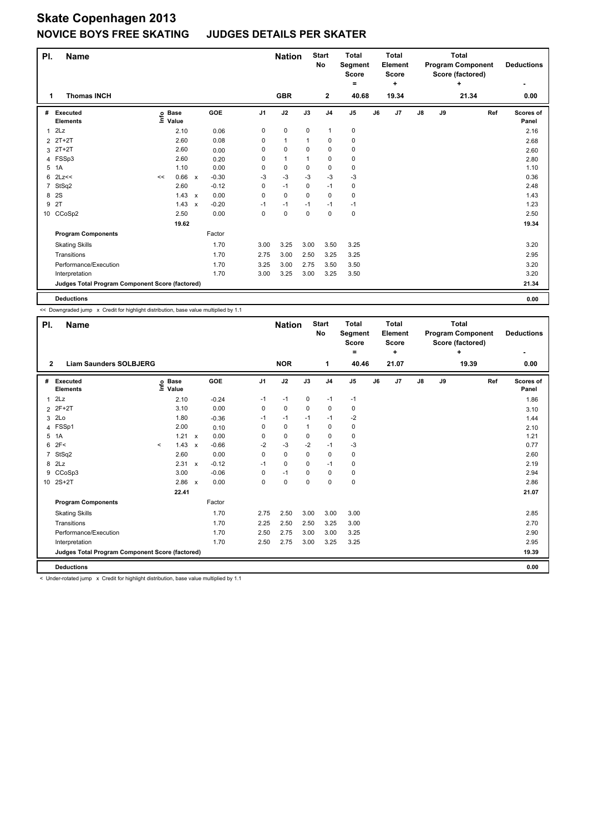## **Skate Copenhagen 2013 NOVICE BOYS FREE SKATING JUDGES DETAILS PER SKATER**

| PI.            | <b>Name</b>                                     |    |                            |              |            |          |              | <b>Start</b><br><b>Nation</b><br><b>No</b> |                | <b>Total</b><br>Segment<br><b>Score</b> |    | <b>Total</b><br><b>Element</b><br><b>Score</b> |    | <b>Total</b><br><b>Program Component</b><br>Score (factored) |       | <b>Deductions</b>         |
|----------------|-------------------------------------------------|----|----------------------------|--------------|------------|----------|--------------|--------------------------------------------|----------------|-----------------------------------------|----|------------------------------------------------|----|--------------------------------------------------------------|-------|---------------------------|
|                |                                                 |    |                            |              |            |          |              |                                            |                | ۰                                       |    | ÷                                              |    |                                                              | ÷     |                           |
| 1              | <b>Thomas INCH</b>                              |    |                            |              |            |          | <b>GBR</b>   |                                            | $\mathbf{2}$   | 40.68                                   |    | 19.34                                          |    |                                                              | 21.34 | 0.00                      |
| #              | <b>Executed</b><br><b>Elements</b>              |    | e Base<br>⊆ Value<br>Value |              | <b>GOE</b> | J1       | J2           | J3                                         | J <sub>4</sub> | J <sub>5</sub>                          | J6 | J7                                             | J8 | J9                                                           | Ref   | <b>Scores of</b><br>Panel |
| 1              | 2Lz                                             |    | 2.10                       |              | 0.06       | 0        | 0            | 0                                          | $\mathbf{1}$   | 0                                       |    |                                                |    |                                                              |       | 2.16                      |
| 2              | 2T+2T                                           |    | 2.60                       |              | 0.08       | 0        | $\mathbf{1}$ | 1                                          | $\mathbf 0$    | 0                                       |    |                                                |    |                                                              |       | 2.68                      |
| 3              | $2T+2T$                                         |    | 2.60                       |              | 0.00       | 0        | $\pmb{0}$    | 0                                          | $\mathbf 0$    | 0                                       |    |                                                |    |                                                              |       | 2.60                      |
|                | 4 FSSp3                                         |    | 2.60                       |              | 0.20       | 0        | $\mathbf{1}$ | 1                                          | $\mathbf 0$    | 0                                       |    |                                                |    |                                                              |       | 2.80                      |
| 5              | 1A                                              |    | 1.10                       |              | 0.00       | $\Omega$ | 0            | 0                                          | 0              | 0                                       |    |                                                |    |                                                              |       | 1.10                      |
| 6              | 2Lz<<                                           | << | 0.66                       | X            | $-0.30$    | -3       | -3           | $-3$                                       | -3             | $-3$                                    |    |                                                |    |                                                              |       | 0.36                      |
| $\overline{7}$ | StSq2                                           |    | 2.60                       |              | $-0.12$    | 0        | $-1$         | 0                                          | $-1$           | 0                                       |    |                                                |    |                                                              |       | 2.48                      |
| 8              | <b>2S</b>                                       |    | $1.43 \times$              |              | 0.00       | 0        | $\mathbf 0$  | $\Omega$                                   | $\mathbf 0$    | 0                                       |    |                                                |    |                                                              |       | 1.43                      |
| 9              | 2T                                              |    | 1.43                       | $\mathsf{x}$ | $-0.20$    | $-1$     | $-1$         | $-1$                                       | $-1$           | $-1$                                    |    |                                                |    |                                                              |       | 1.23                      |
|                | 10 CCoSp2                                       |    | 2.50                       |              | 0.00       | 0        | $\mathbf 0$  | 0                                          | $\mathbf 0$    | 0                                       |    |                                                |    |                                                              |       | 2.50                      |
|                |                                                 |    | 19.62                      |              |            |          |              |                                            |                |                                         |    |                                                |    |                                                              |       | 19.34                     |
|                | <b>Program Components</b>                       |    |                            |              | Factor     |          |              |                                            |                |                                         |    |                                                |    |                                                              |       |                           |
|                | <b>Skating Skills</b>                           |    |                            |              | 1.70       | 3.00     | 3.25         | 3.00                                       | 3.50           | 3.25                                    |    |                                                |    |                                                              |       | 3.20                      |
|                | Transitions                                     |    |                            |              | 1.70       | 2.75     | 3.00         | 2.50                                       | 3.25           | 3.25                                    |    |                                                |    |                                                              |       | 2.95                      |
|                | Performance/Execution                           |    |                            |              | 1.70       | 3.25     | 3.00         | 2.75                                       | 3.50           | 3.50                                    |    |                                                |    |                                                              |       | 3.20                      |
|                | Interpretation                                  |    |                            |              | 1.70       | 3.00     | 3.25         | 3.00                                       | 3.25           | 3.50                                    |    |                                                |    |                                                              |       | 3.20                      |
|                | Judges Total Program Component Score (factored) |    |                            |              |            |          |              |                                            |                |                                         |    |                                                |    |                                                              |       | 21.34                     |
|                | <b>Deductions</b>                               |    |                            |              |            |          |              |                                            |                |                                         |    |                                                |    |                                                              |       | 0.00                      |

<< Downgraded jump x Credit for highlight distribution, base value multiplied by 1.1

| PI.                                             | <b>Name</b>                                                                                                    |                              |        |              |         |                | <b>Nation</b> |              | <b>Start</b><br>No | <b>Total</b><br>Segment<br><b>Score</b><br>= |    | <b>Total</b><br>Element<br><b>Score</b><br>÷ |               |    | <b>Total</b><br><b>Program Component</b><br>Score (factored)<br>÷ |     | <b>Deductions</b>  |
|-------------------------------------------------|----------------------------------------------------------------------------------------------------------------|------------------------------|--------|--------------|---------|----------------|---------------|--------------|--------------------|----------------------------------------------|----|----------------------------------------------|---------------|----|-------------------------------------------------------------------|-----|--------------------|
| 2                                               | <b>Liam Saunders SOLBJERG</b>                                                                                  |                              |        |              |         |                | <b>NOR</b>    |              | 1                  | 40.46                                        |    | 21.07                                        |               |    | 19.39                                                             |     | 0.00               |
| #                                               | Executed<br><b>Elements</b>                                                                                    | <b>Base</b><br>lnfo<br>Value |        |              | GOE     | J <sub>1</sub> | J2            | J3           | J <sub>4</sub>     | J <sub>5</sub>                               | J6 | J <sub>7</sub>                               | $\mathsf{J}8$ | J9 |                                                                   | Ref | Scores of<br>Panel |
|                                                 | $1$ $2Lz$                                                                                                      |                              | 2.10   |              | $-0.24$ | $-1$           | $-1$          | 0            | $-1$               | $-1$                                         |    |                                              |               |    |                                                                   |     | 1.86               |
|                                                 | 2 2F+2T                                                                                                        |                              | 3.10   |              | 0.00    | 0              | 0             | 0            | $\mathbf 0$        | 0                                            |    |                                              |               |    |                                                                   |     | 3.10               |
|                                                 | 3 2Lo                                                                                                          |                              | 1.80   |              | $-0.36$ | $-1$           | $-1$          | $-1$         | $-1$               | $-2$                                         |    |                                              |               |    |                                                                   |     | 1.44               |
|                                                 | 4 FSSp1                                                                                                        |                              | 2.00   |              | 0.10    | $\Omega$       | 0             | $\mathbf{1}$ | 0                  | 0                                            |    |                                              |               |    |                                                                   |     | 2.10               |
| 5                                               | 1A                                                                                                             |                              | 1.21   | $\mathsf{x}$ | 0.00    | 0              | 0             | 0            | $\mathbf 0$        | 0                                            |    |                                              |               |    |                                                                   |     | 1.21               |
|                                                 | 62F<                                                                                                           | $\prec$                      | 1.43   | $\mathsf{x}$ | $-0.66$ | $-2$           | $-3$          | $-2$         | $-1$               | $-3$                                         |    |                                              |               |    |                                                                   |     | 0.77               |
|                                                 | 7 StSq2                                                                                                        |                              | 2.60   |              | 0.00    | $\Omega$       | 0             | 0            | 0                  | 0                                            |    |                                              |               |    |                                                                   |     | 2.60               |
|                                                 | 8 2Lz                                                                                                          |                              | 2.31   | $\mathbf{x}$ | $-0.12$ | $-1$           | 0             | 0            | $-1$               | 0                                            |    |                                              |               |    |                                                                   |     | 2.19               |
|                                                 | 9 CCoSp3                                                                                                       |                              | 3.00   |              | $-0.06$ | 0              | $-1$          | $\Omega$     | $\mathbf 0$        | 0                                            |    |                                              |               |    |                                                                   |     | 2.94               |
|                                                 | 10 2S+2T                                                                                                       |                              | 2.86 x |              | 0.00    | 0              | 0             | 0            | $\mathbf 0$        | $\pmb{0}$                                    |    |                                              |               |    |                                                                   |     | 2.86               |
|                                                 |                                                                                                                |                              | 22.41  |              |         |                |               |              |                    |                                              |    |                                              |               |    |                                                                   |     | 21.07              |
|                                                 | <b>Program Components</b>                                                                                      |                              |        |              | Factor  |                |               |              |                    |                                              |    |                                              |               |    |                                                                   |     |                    |
|                                                 | <b>Skating Skills</b>                                                                                          |                              |        |              | 1.70    | 2.75           | 2.50          | 3.00         | 3.00               | 3.00                                         |    |                                              |               |    |                                                                   |     | 2.85               |
|                                                 | Transitions                                                                                                    |                              |        |              | 1.70    | 2.25           | 2.50          | 2.50         | 3.25               | 3.00                                         |    |                                              |               |    |                                                                   |     | 2.70               |
|                                                 | Performance/Execution                                                                                          |                              |        |              | 1.70    | 2.50           | 2.75          | 3.00         | 3.00               | 3.25                                         |    |                                              |               |    |                                                                   |     | 2.90               |
|                                                 | Interpretation                                                                                                 |                              |        |              | 1.70    | 2.50           | 2.75          | 3.00         | 3.25               | 3.25                                         |    |                                              |               |    |                                                                   |     | 2.95               |
| Judges Total Program Component Score (factored) |                                                                                                                |                              |        |              |         |                |               |              |                    |                                              |    |                                              | 19.39         |    |                                                                   |     |                    |
|                                                 | <b>Deductions</b>                                                                                              |                              |        |              |         |                |               |              |                    |                                              |    |                                              |               |    |                                                                   |     | 0.00               |
|                                                 | . I had as softed in my current of Crooking for bightight distribution, boos unlus multiplied by 4.4 والمقاوير |                              |        |              |         |                |               |              |                    |                                              |    |                                              |               |    |                                                                   |     |                    |

Under-rotated jump x Credit for highlight distribution, base value multiplied by 1.1